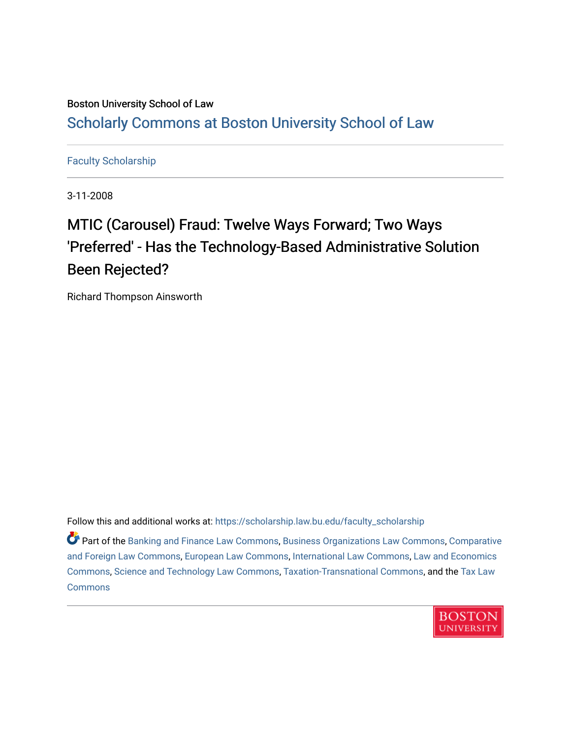### Boston University School of Law [Scholarly Commons at Boston University School of Law](https://scholarship.law.bu.edu/)

#### [Faculty Scholarship](https://scholarship.law.bu.edu/faculty_scholarship)

3-11-2008

# MTIC (Carousel) Fraud: Twelve Ways Forward; Two Ways 'Preferred' - Has the Technology-Based Administrative Solution Been Rejected?

Richard Thompson Ainsworth

Follow this and additional works at: [https://scholarship.law.bu.edu/faculty\\_scholarship](https://scholarship.law.bu.edu/faculty_scholarship?utm_source=scholarship.law.bu.edu%2Ffaculty_scholarship%2F1490&utm_medium=PDF&utm_campaign=PDFCoverPages)

Part of the [Banking and Finance Law Commons,](http://network.bepress.com/hgg/discipline/833?utm_source=scholarship.law.bu.edu%2Ffaculty_scholarship%2F1490&utm_medium=PDF&utm_campaign=PDFCoverPages) [Business Organizations Law Commons](http://network.bepress.com/hgg/discipline/900?utm_source=scholarship.law.bu.edu%2Ffaculty_scholarship%2F1490&utm_medium=PDF&utm_campaign=PDFCoverPages), [Comparative](http://network.bepress.com/hgg/discipline/836?utm_source=scholarship.law.bu.edu%2Ffaculty_scholarship%2F1490&utm_medium=PDF&utm_campaign=PDFCoverPages) [and Foreign Law Commons,](http://network.bepress.com/hgg/discipline/836?utm_source=scholarship.law.bu.edu%2Ffaculty_scholarship%2F1490&utm_medium=PDF&utm_campaign=PDFCoverPages) [European Law Commons,](http://network.bepress.com/hgg/discipline/1084?utm_source=scholarship.law.bu.edu%2Ffaculty_scholarship%2F1490&utm_medium=PDF&utm_campaign=PDFCoverPages) [International Law Commons](http://network.bepress.com/hgg/discipline/609?utm_source=scholarship.law.bu.edu%2Ffaculty_scholarship%2F1490&utm_medium=PDF&utm_campaign=PDFCoverPages), [Law and Economics](http://network.bepress.com/hgg/discipline/612?utm_source=scholarship.law.bu.edu%2Ffaculty_scholarship%2F1490&utm_medium=PDF&utm_campaign=PDFCoverPages)  [Commons](http://network.bepress.com/hgg/discipline/612?utm_source=scholarship.law.bu.edu%2Ffaculty_scholarship%2F1490&utm_medium=PDF&utm_campaign=PDFCoverPages), [Science and Technology Law Commons,](http://network.bepress.com/hgg/discipline/875?utm_source=scholarship.law.bu.edu%2Ffaculty_scholarship%2F1490&utm_medium=PDF&utm_campaign=PDFCoverPages) [Taxation-Transnational Commons](http://network.bepress.com/hgg/discipline/883?utm_source=scholarship.law.bu.edu%2Ffaculty_scholarship%2F1490&utm_medium=PDF&utm_campaign=PDFCoverPages), and the [Tax Law](http://network.bepress.com/hgg/discipline/898?utm_source=scholarship.law.bu.edu%2Ffaculty_scholarship%2F1490&utm_medium=PDF&utm_campaign=PDFCoverPages)  **[Commons](http://network.bepress.com/hgg/discipline/898?utm_source=scholarship.law.bu.edu%2Ffaculty_scholarship%2F1490&utm_medium=PDF&utm_campaign=PDFCoverPages)** 

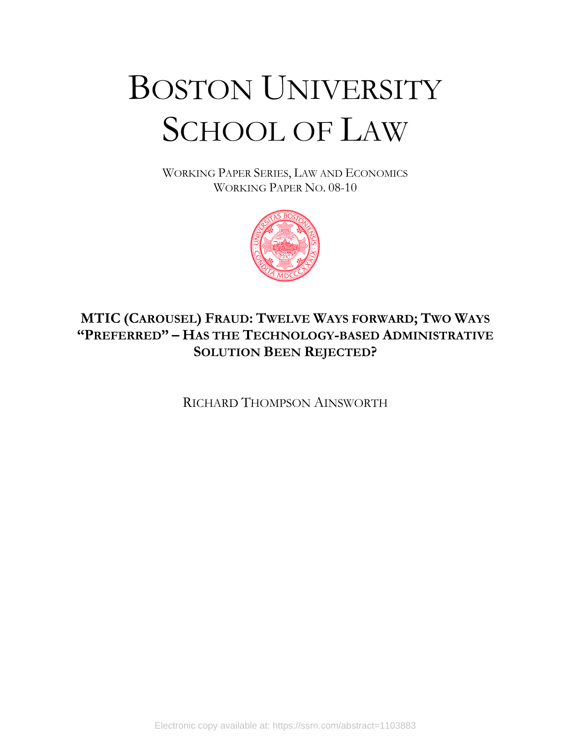# BOSTON UNIVERSITY SCHOOL OF LAW

WORKING PAPER SERIES, LAW AND ECONOMICS WORKING PAPER NO. 08-10



## **MTIC (CAROUSEL) FRAUD: TWELVE WAYS FORWARD; TWO WAYS "PREFERRED" – HAS THE TECHNOLOGY-BASED ADMINISTRATIVE SOLUTION BEEN REJECTED?**

RICHARD THOMPSON AINSWORTH

Electronic copy available at: https://ssrn.com/abstract=1103883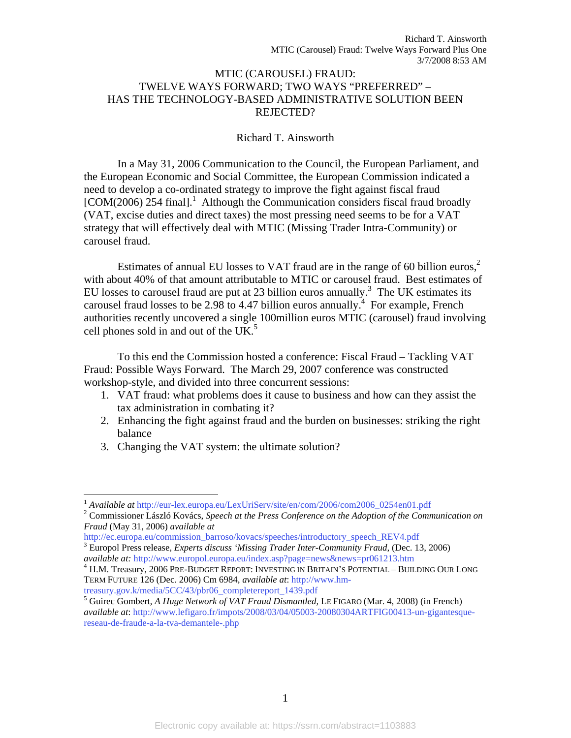#### MTIC (CAROUSEL) FRAUD: TWELVE WAYS FORWARD; TWO WAYS "PREFERRED" – HAS THE TECHNOLOGY-BASED ADMINISTRATIVE SOLUTION BEEN REJECTED?

#### Richard T. Ainsworth

In a May 31, 2006 Communication to the Council, the European Parliament, and the European Economic and Social Committee, the European Commission indicated a need to develop a co-ordinated strategy to improve the fight against fiscal fraud [COM(2006) 254 final].<sup>1</sup> Although the Communication considers fiscal fraud broadly (VAT, excise duties and direct taxes) the most pressing need seems to be for a VAT strategy that will effectively deal with MTIC (Missing Trader Intra-Community) or carousel fraud.

Estimates of annual EU losses to VAT fraud are in the range of 60 billion euros,<sup>2</sup> with about 40% of that amount attributable to MTIC or carousel fraud. Best estimates of EU losses to carousel fraud are put at 23 billion euros annually.<sup>3</sup> The UK estimates its carousel fraud losses to be 2.98 to 4.47 billion euros annually.<sup> $\frac{4}{1}$ </sup> For example, French authorities recently uncovered a single 100million euros MTIC (carousel) fraud involving cell phones sold in and out of the UK. $<sup>5</sup>$ </sup>

 To this end the Commission hosted a conference: Fiscal Fraud – Tackling VAT Fraud: Possible Ways Forward. The March 29, 2007 conference was constructed workshop-style, and divided into three concurrent sessions:

- 1. VAT fraud: what problems does it cause to business and how can they assist the tax administration in combating it?
- 2. Enhancing the fight against fraud and the burden on businesses: striking the right balance
- 3. Changing the VAT system: the ultimate solution?

1

<sup>&</sup>lt;sup>1</sup> Available at http://eur-lex.europa.eu/LexUriServ/site/en/com/2006/com2006\_0254en01.pdf

Commissioner László Kovács, *Speech at the Press Conference on the Adoption of the Communication on Fraud* (May 31, 2006) *available at*

http://ec.europa.eu/commission\_barroso/kovacs/speeches/introductory\_speech\_REV4.pdf 3

Europol Press release, *Experts discuss 'Missing Trader Inter-Community Fraud*, (Dec. 13, 2006) *available at:* http://www.europol.europa.eu/index.asp?page=news&news=pr061213.htm 4

H.M. Treasury, 2006 PRE-BUDGET REPORT: INVESTING IN BRITAIN'S POTENTIAL – BUILDING OUR LONG TERM FUTURE 126 (Dec. 2006) Cm 6984, *available at*: http://www.hm-

treasury.gov.k/media/5CC/43/pbr06\_completereport\_1439.pdf

<sup>&</sup>lt;sup>5</sup> Guirec Gombert, *A Huge Network of VAT Fraud Dismantled*, LE FIGARO (Mar. 4, 2008) (in French) *available at*: http://www.lefigaro.fr/impots/2008/03/04/05003-20080304ARTFIG00413-un-gigantesquereseau-de-fraude-a-la-tva-demantele-.php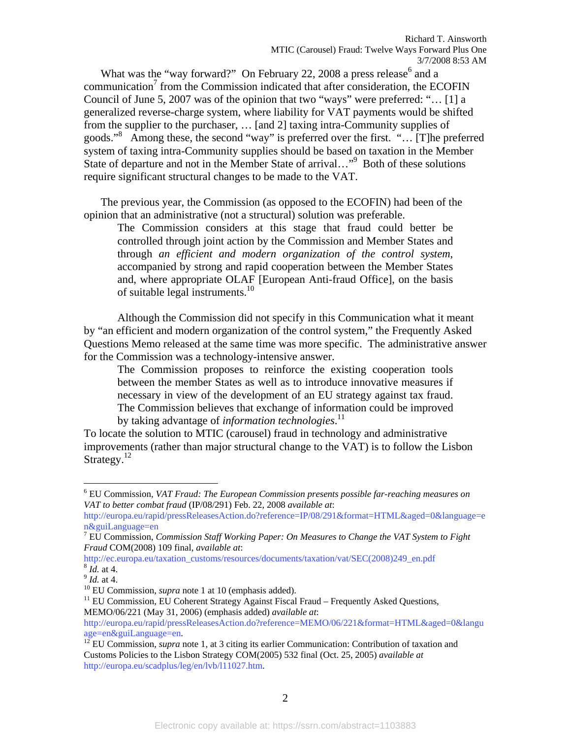What was the "way forward?" On February 22, 2008 a press release<sup>6</sup> and a  $common<sup>7</sup>$  from the Commission indicated that after consideration, the ECOFIN Council of June 5, 2007 was of the opinion that two "ways" were preferred: "… [1] a generalized reverse-charge system, where liability for VAT payments would be shifted from the supplier to the purchaser, … [and 2] taxing intra-Community supplies of goods."<sup>8</sup> Among these, the second "way" is preferred over the first. "… [T]he preferred system of taxing intra-Community supplies should be based on taxation in the Member State of departure and not in the Member State of arrival..."<sup>9</sup> Both of these solutions require significant structural changes to be made to the VAT.

The previous year, the Commission (as opposed to the ECOFIN) had been of the opinion that an administrative (not a structural) solution was preferable.

The Commission considers at this stage that fraud could better be controlled through joint action by the Commission and Member States and through *an efficient and modern organization of the control system*, accompanied by strong and rapid cooperation between the Member States and, where appropriate OLAF [European Anti-fraud Office], on the basis of suitable legal instruments.<sup>10</sup>

 Although the Commission did not specify in this Communication what it meant by "an efficient and modern organization of the control system," the Frequently Asked Questions Memo released at the same time was more specific. The administrative answer for the Commission was a technology-intensive answer.

The Commission proposes to reinforce the existing cooperation tools between the member States as well as to introduce innovative measures if necessary in view of the development of an EU strategy against tax fraud. The Commission believes that exchange of information could be improved by taking advantage of *information technologies*. 11

To locate the solution to MTIC (carousel) fraud in technology and administrative improvements (rather than major structural change to the VAT) is to follow the Lisbon Strategy. $^{12}$ 

 $\overline{a}$ 

<sup>*Id.* at 4.</sup><br><sup>9</sup> *Id.* at 4.<br><sup>10</sup> EU Commission, *supra* note 1 at 10 (emphasis added).<br><sup>11</sup> EU Commission, EU Coherent Strategy Against Fiscal Fraud – Frequently Asked Questions, MEMO/06/221 (May 31, 2006) (emphasis added) *available at*:

<sup>6</sup> EU Commission, *VAT Fraud: The European Commission presents possible far-reaching measures on VAT to better combat fraud* (IP/08/291) Feb. 22, 2008 *available at*:

http://europa.eu/rapid/pressReleasesAction.do?reference=IP/08/291&format=HTML&aged=0&language=e n&guiLanguage=en

<sup>7</sup> EU Commission, *Commission Staff Working Paper: On Measures to Change the VAT System to Fight Fraud* COM(2008) 109 final, *available at*:

http://ec.europa.eu/taxation\_customs/resources/documents/taxation/vat/SEC(2008)249\_en.pdf

http://europa.eu/rapid/pressReleasesAction.do?reference=MEMO/06/221&format=HTML&aged=0&langu age=en&guiLanguage=en.<br><sup>12</sup> EU Commission, *supra* note 1, at 3 citing its earlier Communication: Contribution of taxation and

Customs Policies to the Lisbon Strategy COM(2005) 532 final (Oct. 25, 2005) *available at* http://europa.eu/scadplus/leg/en/lvb/l11027.htm.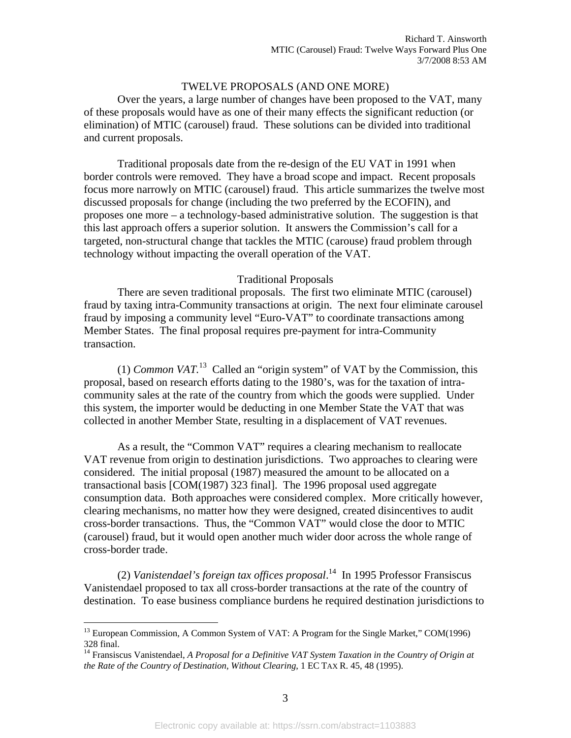#### TWELVE PROPOSALS (AND ONE MORE)

Over the years, a large number of changes have been proposed to the VAT, many of these proposals would have as one of their many effects the significant reduction (or elimination) of MTIC (carousel) fraud. These solutions can be divided into traditional and current proposals.

Traditional proposals date from the re-design of the EU VAT in 1991 when border controls were removed. They have a broad scope and impact. Recent proposals focus more narrowly on MTIC (carousel) fraud. This article summarizes the twelve most discussed proposals for change (including the two preferred by the ECOFIN), and proposes one more – a technology-based administrative solution. The suggestion is that this last approach offers a superior solution. It answers the Commission's call for a targeted, non-structural change that tackles the MTIC (carouse) fraud problem through technology without impacting the overall operation of the VAT.

#### Traditional Proposals

 There are seven traditional proposals. The first two eliminate MTIC (carousel) fraud by taxing intra-Community transactions at origin. The next four eliminate carousel fraud by imposing a community level "Euro-VAT" to coordinate transactions among Member States. The final proposal requires pre-payment for intra-Community transaction.

 (1) *Common VAT.*<sup>13</sup> Called an "origin system" of VAT by the Commission, this proposal, based on research efforts dating to the 1980's, was for the taxation of intracommunity sales at the rate of the country from which the goods were supplied. Under this system, the importer would be deducting in one Member State the VAT that was collected in another Member State, resulting in a displacement of VAT revenues.

 As a result, the "Common VAT" requires a clearing mechanism to reallocate VAT revenue from origin to destination jurisdictions. Two approaches to clearing were considered. The initial proposal (1987) measured the amount to be allocated on a transactional basis [COM(1987) 323 final]. The 1996 proposal used aggregate consumption data. Both approaches were considered complex. More critically however, clearing mechanisms, no matter how they were designed, created disincentives to audit cross-border transactions. Thus, the "Common VAT" would close the door to MTIC (carousel) fraud, but it would open another much wider door across the whole range of cross-border trade.

(2) *Vanistendael's foreign tax offices proposal*. 14 In 1995 Professor Fransiscus Vanistendael proposed to tax all cross-border transactions at the rate of the country of destination. To ease business compliance burdens he required destination jurisdictions to

 $^{13}$  European Commission, A Common System of VAT: A Program for the Single Market," COM(1996) 328 final.

<sup>&</sup>lt;sup>14</sup> Fransiscus Vanistendael, *A Proposal for a Definitive VAT System Taxation in the Country of Origin at the Rate of the Country of Destination, Without Clearing*, 1 EC TAX R. 45, 48 (1995).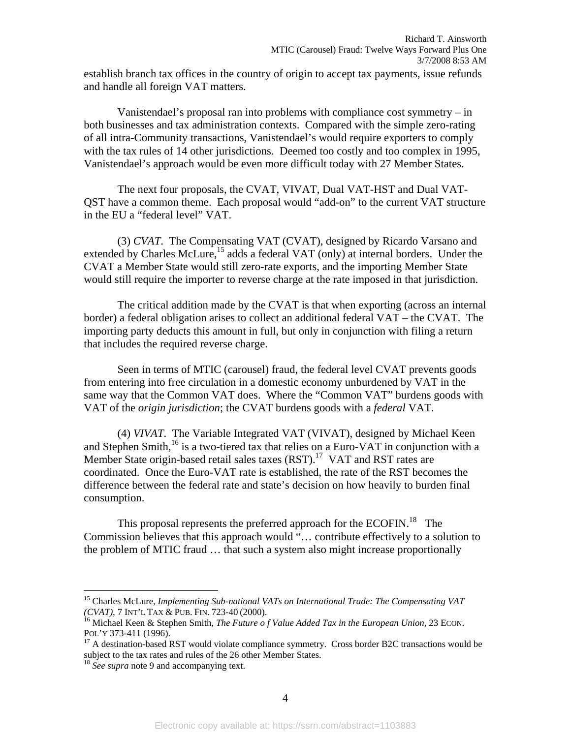establish branch tax offices in the country of origin to accept tax payments, issue refunds and handle all foreign VAT matters.

Vanistendael's proposal ran into problems with compliance cost symmetry – in both businesses and tax administration contexts. Compared with the simple zero-rating of all intra-Community transactions, Vanistendael's would require exporters to comply with the tax rules of 14 other jurisdictions. Deemed too costly and too complex in 1995, Vanistendael's approach would be even more difficult today with 27 Member States.

The next four proposals, the CVAT, VIVAT, Dual VAT-HST and Dual VAT-QST have a common theme. Each proposal would "add-on" to the current VAT structure in the EU a "federal level" VAT.

(3) *CVAT*. The Compensating VAT (CVAT), designed by Ricardo Varsano and extended by Charles McLure,  $^{15}$  adds a federal VAT (only) at internal borders. Under the CVAT a Member State would still zero-rate exports, and the importing Member State would still require the importer to reverse charge at the rate imposed in that jurisdiction.

The critical addition made by the CVAT is that when exporting (across an internal border) a federal obligation arises to collect an additional federal VAT – the CVAT. The importing party deducts this amount in full, but only in conjunction with filing a return that includes the required reverse charge.

Seen in terms of MTIC (carousel) fraud, the federal level CVAT prevents goods from entering into free circulation in a domestic economy unburdened by VAT in the same way that the Common VAT does. Where the "Common VAT" burdens goods with VAT of the *origin jurisdiction*; the CVAT burdens goods with a *federal* VAT.

(4) *VIVAT*. The Variable Integrated VAT (VIVAT), designed by Michael Keen and Stephen Smith, $^{16}$  is a two-tiered tax that relies on a Euro-VAT in conjunction with a Member State origin-based retail sales taxes (RST).<sup>17</sup> VAT and RST rates are coordinated. Once the Euro-VAT rate is established, the rate of the RST becomes the difference between the federal rate and state's decision on how heavily to burden final consumption.

This proposal represents the preferred approach for the ECOFIN.<sup>18</sup> The Commission believes that this approach would "… contribute effectively to a solution to the problem of MTIC fraud … that such a system also might increase proportionally

<u>.</u>

<sup>&</sup>lt;sup>15</sup> Charles McLure, *Implementing Sub-national VATs on International Trade: The Compensating VAT* (*CVAT*), 7 INT'L TAX & PUB. FIN. 723-40 (2000).

<sup>&</sup>lt;sup>16</sup> Michael Keen & Stephen Smith, *The Future of Value Added Tax in the European Union*, 23 ECON. POL'Y 373-411 (1996).<br><sup>17</sup> A destination-based RST would violate compliance symmetry. Cross border B2C transactions would be

subject to the tax rates and rules of the 26 other Member States. 18 *See supra* note 9 and accompanying text.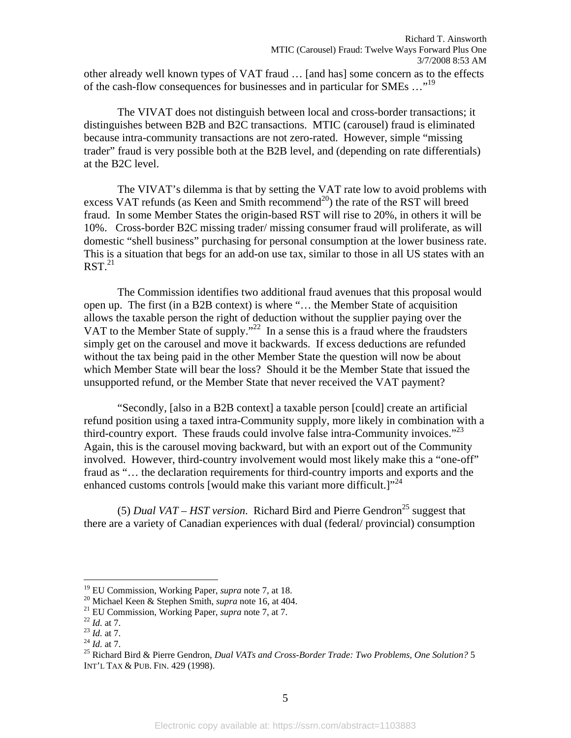other already well known types of VAT fraud … [and has] some concern as to the effects of the cash-flow consequences for businesses and in particular for SMEs …"19

The VIVAT does not distinguish between local and cross-border transactions; it distinguishes between B2B and B2C transactions. MTIC (carousel) fraud is eliminated because intra-community transactions are not zero-rated. However, simple "missing trader" fraud is very possible both at the B2B level, and (depending on rate differentials) at the B2C level.

The VIVAT's dilemma is that by setting the VAT rate low to avoid problems with excess VAT refunds (as Keen and Smith recommend<sup>20</sup>) the rate of the RST will breed fraud. In some Member States the origin-based RST will rise to 20%, in others it will be 10%. Cross-border B2C missing trader/ missing consumer fraud will proliferate, as will domestic "shell business" purchasing for personal consumption at the lower business rate. This is a situation that begs for an add-on use tax, similar to those in all US states with an  $RST<sup>21</sup>$ 

The Commission identifies two additional fraud avenues that this proposal would open up. The first (in a B2B context) is where "… the Member State of acquisition allows the taxable person the right of deduction without the supplier paying over the VAT to the Member State of supply."<sup>22</sup> In a sense this is a fraud where the fraudsters simply get on the carousel and move it backwards. If excess deductions are refunded without the tax being paid in the other Member State the question will now be about which Member State will bear the loss? Should it be the Member State that issued the unsupported refund, or the Member State that never received the VAT payment?

"Secondly, [also in a B2B context] a taxable person [could] create an artificial refund position using a taxed intra-Community supply, more likely in combination with a third-country export. These frauds could involve false intra-Community invoices."<sup>23</sup> Again, this is the carousel moving backward, but with an export out of the Community involved. However, third-country involvement would most likely make this a "one-off" fraud as "… the declaration requirements for third-country imports and exports and the enhanced customs controls [would make this variant more difficult.] $"^{24}$ 

(5) *Dual VAT – HST version.* Richard Bird and Pierre Gendron<sup>25</sup> suggest that there are a variety of Canadian experiences with dual (federal/ provincial) consumption

<sup>&</sup>lt;sup>19</sup> EU Commission, Working Paper, *supra* note 7, at 18.

<sup>&</sup>lt;sup>20</sup> Michael Keen & Stephen Smith, *supra* note 16, at 404.<br><sup>21</sup> EU Commission, Working Paper, *supra* note 7, at 7.<br><sup>22</sup> Id. at 7.<br><sup>23</sup> Id. at 7.<br><sup>24</sup> Id. at 7.<br><sup>25</sup> Richard Bird & Pierre Gendron, *Dual VATs and Cross-Bo* INT'L TAX & PUB. FIN. 429 (1998).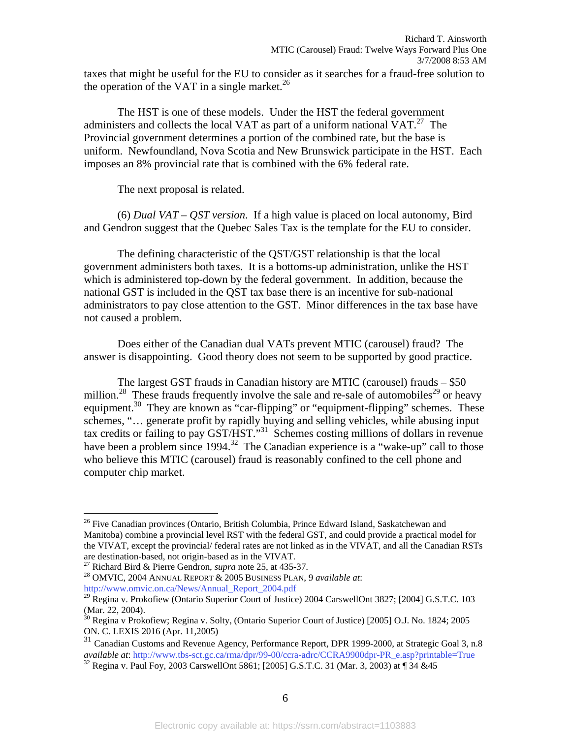taxes that might be useful for the EU to consider as it searches for a fraud-free solution to the operation of the VAT in a single market.<sup>26</sup>

The HST is one of these models. Under the HST the federal government administers and collects the local VAT as part of a uniform national  $VAT<sup>27</sup>$ . The Provincial government determines a portion of the combined rate, but the base is uniform. Newfoundland, Nova Scotia and New Brunswick participate in the HST. Each imposes an 8% provincial rate that is combined with the 6% federal rate.

The next proposal is related.

(6) *Dual VAT – QST version*. If a high value is placed on local autonomy, Bird and Gendron suggest that the Quebec Sales Tax is the template for the EU to consider.

The defining characteristic of the QST/GST relationship is that the local government administers both taxes. It is a bottoms-up administration, unlike the HST which is administered top-down by the federal government. In addition, because the national GST is included in the QST tax base there is an incentive for sub-national administrators to pay close attention to the GST. Minor differences in the tax base have not caused a problem.

Does either of the Canadian dual VATs prevent MTIC (carousel) fraud? The answer is disappointing. Good theory does not seem to be supported by good practice.

The largest GST frauds in Canadian history are MTIC (carousel) frauds – \$50 million.<sup>28</sup> These frauds frequently involve the sale and re-sale of automobiles<sup>29</sup> or heavy equipment.<sup>30</sup> They are known as "car-flipping" or "equipment-flipping" schemes. These schemes, "… generate profit by rapidly buying and selling vehicles, while abusing input tax credits or failing to pay GST/HST."31 Schemes costing millions of dollars in revenue have been a problem since 1994.<sup>32</sup> The Canadian experience is a "wake-up" call to those who believe this MTIC (carousel) fraud is reasonably confined to the cell phone and computer chip market.

<sup>&</sup>lt;sup>26</sup> Five Canadian provinces (Ontario, British Columbia, Prince Edward Island, Saskatchewan and Manitoba) combine a provincial level RST with the federal GST, and could provide a practical model for the VIVAT, except the provincial/ federal rates are not linked as in the VIVAT, and all the Canadian RSTs

are destination-based, not origin-based as in the VIVAT.<br><sup>27</sup> Richard Bird & Pierre Gendron, *supra* note 25, at 435-37.

<sup>&</sup>lt;sup>28</sup> OMVIC, 2004 ANNUAL REPORT & 2005 BUSINESS PLAN, 9 *available at*: http://www.omvic.on.ca/News/Annual\_Report\_2004.pdf

<sup>&</sup>lt;sup>29</sup> Regina v. Prokofiew (Ontario Superior Court of Justice) 2004 CarswellOnt 3827; [2004] G.S.T.C. 103 (Mar. 22, 2004).

<sup>&</sup>lt;sup>30</sup> Regina v Prokofiew; Regina v. Solty, (Ontario Superior Court of Justice) [2005] O.J. No. 1824; 2005 ON. C. LEXIS 2016 (Apr. 11,2005)

<sup>&</sup>lt;sup>31</sup> Canadian Customs and Revenue Agency, Performance Report, DPR 1999-2000, at Strategic Goal 3, n.8 *available at*: http://www.tbs-sct.gc.ca/rma/dpr/99-00/ccra-adrc/CCRA9900dpr-PR\_e.asp?printable=True <sup>32</sup> Regina v. Paul Foy, 2003 CarswellOnt 5861; [2005] G.S.T.C. 31 (Mar. 3, 2003) at ¶ 34 &45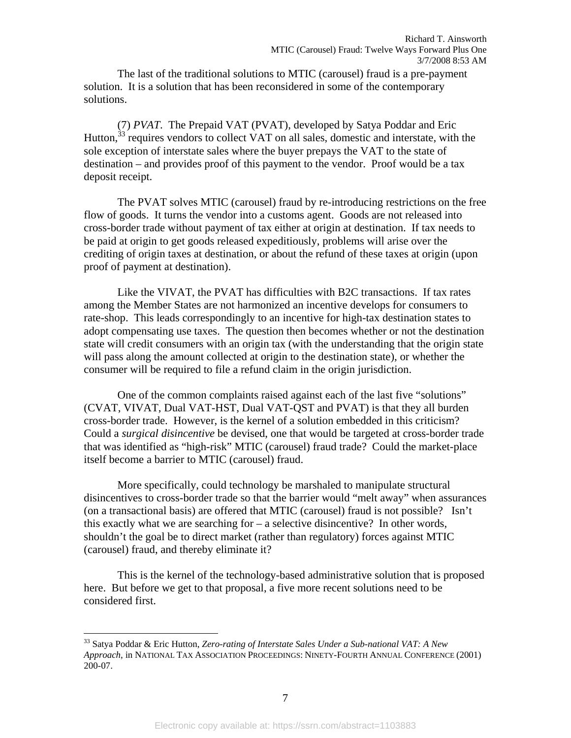The last of the traditional solutions to MTIC (carousel) fraud is a pre-payment solution. It is a solution that has been reconsidered in some of the contemporary solutions.

(7) *PVAT*. The Prepaid VAT (PVAT), developed by Satya Poddar and Eric Hutton,  $33$  requires vendors to collect VAT on all sales, domestic and interstate, with the sole exception of interstate sales where the buyer prepays the VAT to the state of destination – and provides proof of this payment to the vendor. Proof would be a tax deposit receipt.

The PVAT solves MTIC (carousel) fraud by re-introducing restrictions on the free flow of goods. It turns the vendor into a customs agent. Goods are not released into cross-border trade without payment of tax either at origin at destination. If tax needs to be paid at origin to get goods released expeditiously, problems will arise over the crediting of origin taxes at destination, or about the refund of these taxes at origin (upon proof of payment at destination).

Like the VIVAT, the PVAT has difficulties with B2C transactions. If tax rates among the Member States are not harmonized an incentive develops for consumers to rate-shop. This leads correspondingly to an incentive for high-tax destination states to adopt compensating use taxes. The question then becomes whether or not the destination state will credit consumers with an origin tax (with the understanding that the origin state will pass along the amount collected at origin to the destination state), or whether the consumer will be required to file a refund claim in the origin jurisdiction.

One of the common complaints raised against each of the last five "solutions" (CVAT, VIVAT, Dual VAT-HST, Dual VAT-QST and PVAT) is that they all burden cross-border trade. However, is the kernel of a solution embedded in this criticism? Could a *surgical disincentive* be devised, one that would be targeted at cross-border trade that was identified as "high-risk" MTIC (carousel) fraud trade? Could the market-place itself become a barrier to MTIC (carousel) fraud.

More specifically, could technology be marshaled to manipulate structural disincentives to cross-border trade so that the barrier would "melt away" when assurances (on a transactional basis) are offered that MTIC (carousel) fraud is not possible? Isn't this exactly what we are searching for – a selective disincentive? In other words, shouldn't the goal be to direct market (rather than regulatory) forces against MTIC (carousel) fraud, and thereby eliminate it?

This is the kernel of the technology-based administrative solution that is proposed here. But before we get to that proposal, a five more recent solutions need to be considered first.

<sup>33</sup> Satya Poddar & Eric Hutton, *Zero-rating of Interstate Sales Under a Sub-national VAT: A New Approach*, in NATIONAL TAX ASSOCIATION PROCEEDINGS: NINETY-FOURTH ANNUAL CONFERENCE (2001) 200-07.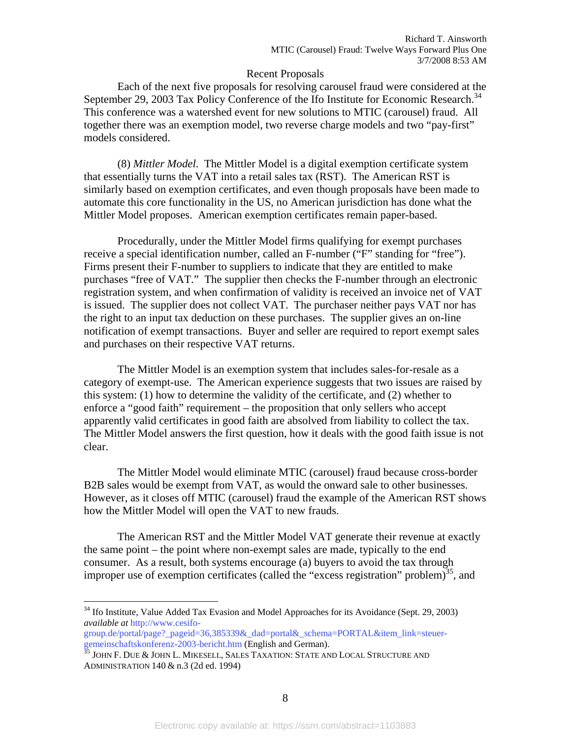#### Recent Proposals

 Each of the next five proposals for resolving carousel fraud were considered at the September 29, 2003 Tax Policy Conference of the Ifo Institute for Economic Research.<sup>34</sup> This conference was a watershed event for new solutions to MTIC (carousel) fraud. All together there was an exemption model, two reverse charge models and two "pay-first" models considered.

(8) *Mittler Model*. The Mittler Model is a digital exemption certificate system that essentially turns the VAT into a retail sales tax (RST). The American RST is similarly based on exemption certificates, and even though proposals have been made to automate this core functionality in the US, no American jurisdiction has done what the Mittler Model proposes. American exemption certificates remain paper-based.

Procedurally, under the Mittler Model firms qualifying for exempt purchases receive a special identification number, called an F-number ("F" standing for "free"). Firms present their F-number to suppliers to indicate that they are entitled to make purchases "free of VAT." The supplier then checks the F-number through an electronic registration system, and when confirmation of validity is received an invoice net of VAT is issued. The supplier does not collect VAT. The purchaser neither pays VAT nor has the right to an input tax deduction on these purchases. The supplier gives an on-line notification of exempt transactions. Buyer and seller are required to report exempt sales and purchases on their respective VAT returns.

The Mittler Model is an exemption system that includes sales-for-resale as a category of exempt-use. The American experience suggests that two issues are raised by this system: (1) how to determine the validity of the certificate, and (2) whether to enforce a "good faith" requirement – the proposition that only sellers who accept apparently valid certificates in good faith are absolved from liability to collect the tax. The Mittler Model answers the first question, how it deals with the good faith issue is not clear.

The Mittler Model would eliminate MTIC (carousel) fraud because cross-border B2B sales would be exempt from VAT, as would the onward sale to other businesses. However, as it closes off MTIC (carousel) fraud the example of the American RST shows how the Mittler Model will open the VAT to new frauds.

The American RST and the Mittler Model VAT generate their revenue at exactly the same point – the point where non-exempt sales are made, typically to the end consumer. As a result, both systems encourage (a) buyers to avoid the tax through improper use of exemption certificates (called the "excess registration" problem)<sup>35</sup>, and

 $34$  Ifo Institute, Value Added Tax Evasion and Model Approaches for its Avoidance (Sept. 29, 2003) *available at* http://www.cesifo-

group.de/portal/page?\_pageid=36,385339&\_dad=portal&\_schema=PORTAL&item\_link=steuergemeinschaftskonferenz-2003-bericht.htm (English and German).<br><sup>35</sup> JOHN F. DUE & JOHN L. MIKESELL, SALES TAXATION: STATE AND LOCAL STRUCTURE AND

ADMINISTRATION 140 & n.3 (2d ed. 1994)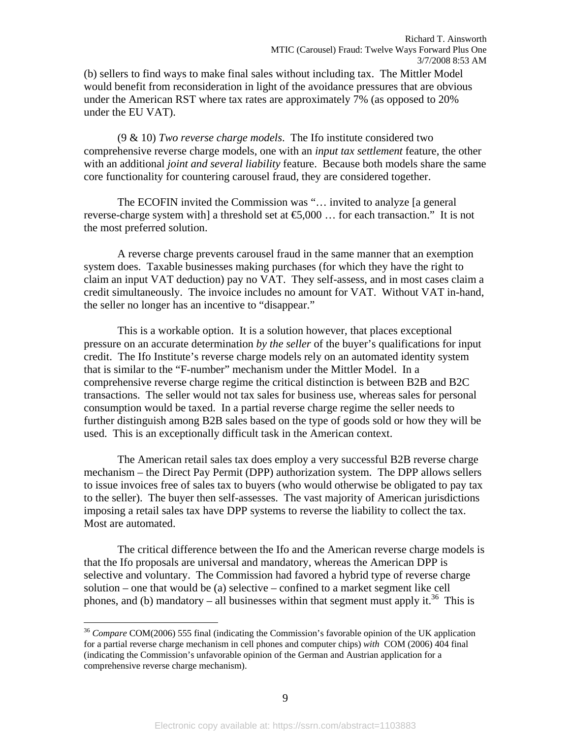(b) sellers to find ways to make final sales without including tax. The Mittler Model would benefit from reconsideration in light of the avoidance pressures that are obvious under the American RST where tax rates are approximately 7% (as opposed to 20% under the EU VAT).

(9 & 10) *Two reverse charge models*. The Ifo institute considered two comprehensive reverse charge models, one with an *input tax settlement* feature, the other with an additional *joint and several liability* feature. Because both models share the same core functionality for countering carousel fraud, they are considered together.

The ECOFIN invited the Commission was "… invited to analyze [a general reverse-charge system with] a threshold set at  $\epsilon$ 5,000 ... for each transaction." It is not the most preferred solution.

A reverse charge prevents carousel fraud in the same manner that an exemption system does. Taxable businesses making purchases (for which they have the right to claim an input VAT deduction) pay no VAT. They self-assess, and in most cases claim a credit simultaneously. The invoice includes no amount for VAT. Without VAT in-hand, the seller no longer has an incentive to "disappear."

This is a workable option. It is a solution however, that places exceptional pressure on an accurate determination *by the seller* of the buyer's qualifications for input credit. The Ifo Institute's reverse charge models rely on an automated identity system that is similar to the "F-number" mechanism under the Mittler Model. In a comprehensive reverse charge regime the critical distinction is between B2B and B2C transactions. The seller would not tax sales for business use, whereas sales for personal consumption would be taxed. In a partial reverse charge regime the seller needs to further distinguish among B2B sales based on the type of goods sold or how they will be used. This is an exceptionally difficult task in the American context.

The American retail sales tax does employ a very successful B2B reverse charge mechanism – the Direct Pay Permit (DPP) authorization system. The DPP allows sellers to issue invoices free of sales tax to buyers (who would otherwise be obligated to pay tax to the seller). The buyer then self-assesses. The vast majority of American jurisdictions imposing a retail sales tax have DPP systems to reverse the liability to collect the tax. Most are automated.

The critical difference between the Ifo and the American reverse charge models is that the Ifo proposals are universal and mandatory, whereas the American DPP is selective and voluntary. The Commission had favored a hybrid type of reverse charge solution – one that would be (a) selective – confined to a market segment like cell phones, and (b) mandatory – all businesses within that segment must apply it.<sup>36</sup> This is

<sup>36</sup> *Compare* COM(2006) 555 final (indicating the Commission's favorable opinion of the UK application for a partial reverse charge mechanism in cell phones and computer chips) *with* COM (2006) 404 final (indicating the Commission's unfavorable opinion of the German and Austrian application for a comprehensive reverse charge mechanism).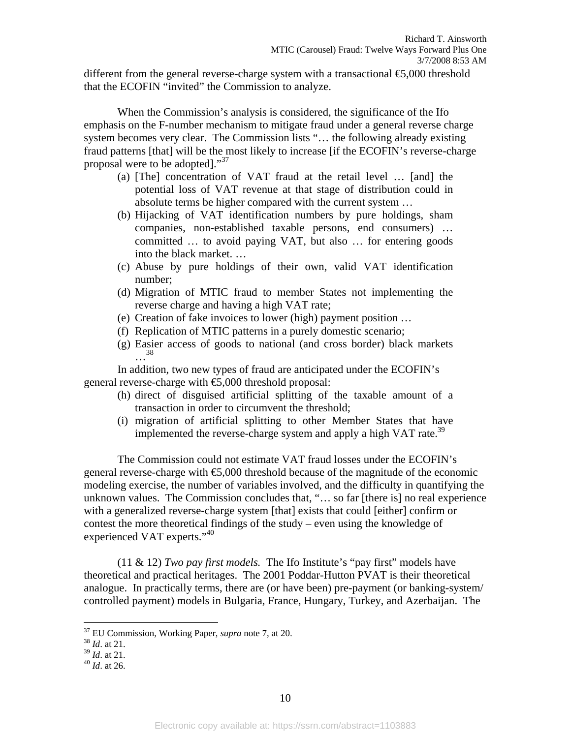different from the general reverse-charge system with a transactional  $\epsilon$ 5,000 threshold that the ECOFIN "invited" the Commission to analyze.

When the Commission's analysis is considered, the significance of the Ifo emphasis on the F-number mechanism to mitigate fraud under a general reverse charge system becomes very clear. The Commission lists "… the following already existing fraud patterns [that] will be the most likely to increase [if the ECOFIN's reverse-charge proposal were to be adopted]."<sup>37</sup>

- (a) [The] concentration of VAT fraud at the retail level … [and] the potential loss of VAT revenue at that stage of distribution could in absolute terms be higher compared with the current system …
- (b) Hijacking of VAT identification numbers by pure holdings, sham companies, non-established taxable persons, end consumers) … committed … to avoid paying VAT, but also … for entering goods into the black market. …
- (c) Abuse by pure holdings of their own, valid VAT identification number;
- (d) Migration of MTIC fraud to member States not implementing the reverse charge and having a high VAT rate;
- (e) Creation of fake invoices to lower (high) payment position …
- (f) Replication of MTIC patterns in a purely domestic scenario;
- (g) Easier access of goods to national (and cross border) black markets …38

 In addition, two new types of fraud are anticipated under the ECOFIN's general reverse-charge with  $\epsilon$ 5,000 threshold proposal:

- (h) direct of disguised artificial splitting of the taxable amount of a transaction in order to circumvent the threshold;
- (i) migration of artificial splitting to other Member States that have implemented the reverse-charge system and apply a high VAT rate.<sup>39</sup>

The Commission could not estimate VAT fraud losses under the ECOFIN's general reverse-charge with  $\epsilon$ 5,000 threshold because of the magnitude of the economic modeling exercise, the number of variables involved, and the difficulty in quantifying the unknown values. The Commission concludes that, "… so far [there is] no real experience with a generalized reverse-charge system [that] exists that could [either] confirm or contest the more theoretical findings of the study – even using the knowledge of experienced VAT experts."<sup>40</sup>

(11 & 12) *Two pay first models.* The Ifo Institute's "pay first" models have theoretical and practical heritages. The 2001 Poddar-Hutton PVAT is their theoretical analogue. In practically terms, there are (or have been) pre-payment (or banking-system/ controlled payment) models in Bulgaria, France, Hungary, Turkey, and Azerbaijan. The

<sup>37</sup> EU Commission, Working Paper, *supra* note 7, at 20. 38 *Id*. at 21.

<sup>39</sup> *Id*. at 21. 40 *Id*. at 26.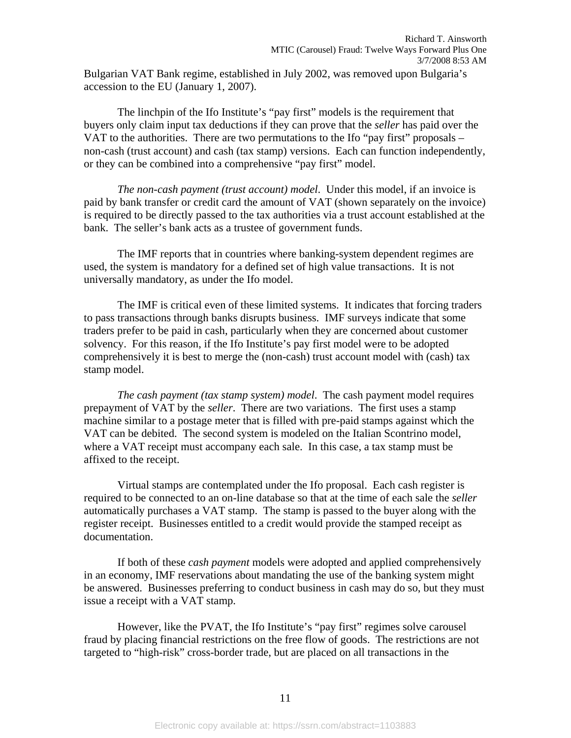Bulgarian VAT Bank regime, established in July 2002, was removed upon Bulgaria's accession to the EU (January 1, 2007).

The linchpin of the Ifo Institute's "pay first" models is the requirement that buyers only claim input tax deductions if they can prove that the *seller* has paid over the VAT to the authorities. There are two permutations to the Ifo "pay first" proposals – non-cash (trust account) and cash (tax stamp) versions. Each can function independently, or they can be combined into a comprehensive "pay first" model.

*The non-cash payment (trust account) model*. Under this model, if an invoice is paid by bank transfer or credit card the amount of VAT (shown separately on the invoice) is required to be directly passed to the tax authorities via a trust account established at the bank. The seller's bank acts as a trustee of government funds.

The IMF reports that in countries where banking-system dependent regimes are used, the system is mandatory for a defined set of high value transactions. It is not universally mandatory, as under the Ifo model.

The IMF is critical even of these limited systems. It indicates that forcing traders to pass transactions through banks disrupts business. IMF surveys indicate that some traders prefer to be paid in cash, particularly when they are concerned about customer solvency. For this reason, if the Ifo Institute's pay first model were to be adopted comprehensively it is best to merge the (non-cash) trust account model with (cash) tax stamp model.

*The cash payment (tax stamp system) model*. The cash payment model requires prepayment of VAT by the *seller*. There are two variations. The first uses a stamp machine similar to a postage meter that is filled with pre-paid stamps against which the VAT can be debited. The second system is modeled on the Italian Scontrino model, where a VAT receipt must accompany each sale. In this case, a tax stamp must be affixed to the receipt.

Virtual stamps are contemplated under the Ifo proposal. Each cash register is required to be connected to an on-line database so that at the time of each sale the *seller* automatically purchases a VAT stamp. The stamp is passed to the buyer along with the register receipt. Businesses entitled to a credit would provide the stamped receipt as documentation.

If both of these *cash payment* models were adopted and applied comprehensively in an economy, IMF reservations about mandating the use of the banking system might be answered. Businesses preferring to conduct business in cash may do so, but they must issue a receipt with a VAT stamp.

However, like the PVAT, the Ifo Institute's "pay first" regimes solve carousel fraud by placing financial restrictions on the free flow of goods. The restrictions are not targeted to "high-risk" cross-border trade, but are placed on all transactions in the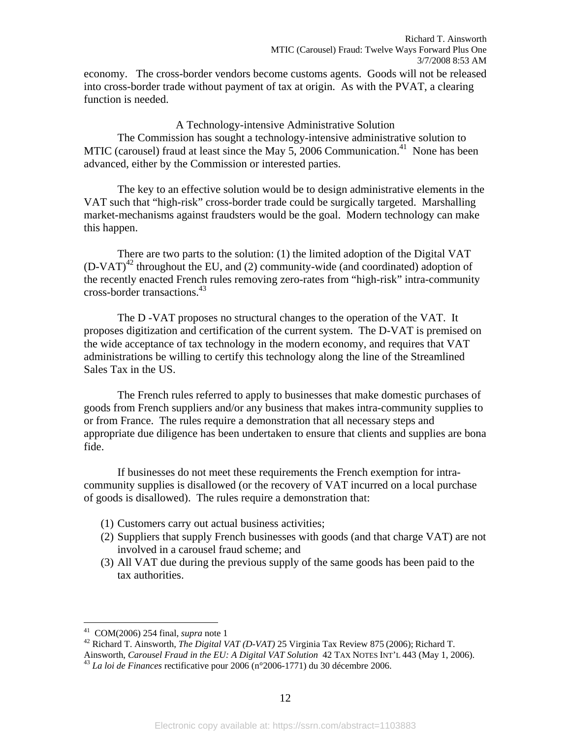economy. The cross-border vendors become customs agents. Goods will not be released into cross-border trade without payment of tax at origin. As with the PVAT, a clearing function is needed.

#### A Technology-intensive Administrative Solution

 The Commission has sought a technology-intensive administrative solution to MTIC (carousel) fraud at least since the May 5, 2006 Communication.<sup>41</sup> None has been advanced, either by the Commission or interested parties.

The key to an effective solution would be to design administrative elements in the VAT such that "high-risk" cross-border trade could be surgically targeted. Marshalling market-mechanisms against fraudsters would be the goal. Modern technology can make this happen.

There are two parts to the solution: (1) the limited adoption of the Digital VAT  $(D-VAT)^{42}$  throughout the EU, and (2) community-wide (and coordinated) adoption of the recently enacted French rules removing zero-rates from "high-risk" intra-community cross-border transactions.43

The D -VAT proposes no structural changes to the operation of the VAT. It proposes digitization and certification of the current system. The D-VAT is premised on the wide acceptance of tax technology in the modern economy, and requires that VAT administrations be willing to certify this technology along the line of the Streamlined Sales Tax in the US.

The French rules referred to apply to businesses that make domestic purchases of goods from French suppliers and/or any business that makes intra-community supplies to or from France. The rules require a demonstration that all necessary steps and appropriate due diligence has been undertaken to ensure that clients and supplies are bona fide.

If businesses do not meet these requirements the French exemption for intracommunity supplies is disallowed (or the recovery of VAT incurred on a local purchase of goods is disallowed). The rules require a demonstration that:

- (1) Customers carry out actual business activities;
- (2) Suppliers that supply French businesses with goods (and that charge VAT) are not involved in a carousel fraud scheme; and
- (3) All VAT due during the previous supply of the same goods has been paid to the tax authorities.

<sup>&</sup>lt;sup>41</sup> COM(2006) 254 final, *supra* note 1

<sup>&</sup>lt;sup>42</sup> Richard T. Ainsworth, *The Digital VAT (D-VAT)* 25 Virginia Tax Review 875 (2006); Richard T.

Ainsworth, *Carousel Fraud in the EU: A Digital VAT Solution* 42 TAX NOTES INT'L 443 (May 1, 2006). 43 *La loi de Finances* rectificative pour 2006 (n°2006-1771) du 30 décembre 2006.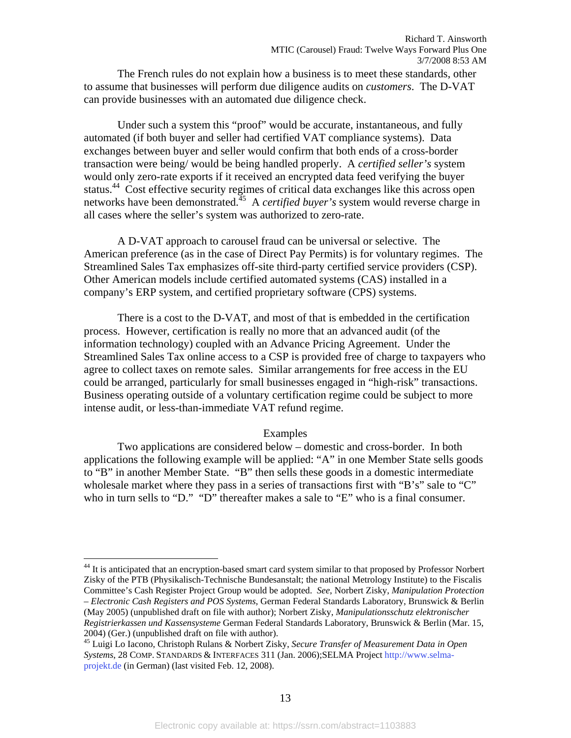The French rules do not explain how a business is to meet these standards, other to assume that businesses will perform due diligence audits on *customers*. The D-VAT can provide businesses with an automated due diligence check.

Under such a system this "proof" would be accurate, instantaneous, and fully automated (if both buyer and seller had certified VAT compliance systems). Data exchanges between buyer and seller would confirm that both ends of a cross-border transaction were being/ would be being handled properly. A *certified seller's* system would only zero-rate exports if it received an encrypted data feed verifying the buyer status.<sup>44</sup> Cost effective security regimes of critical data exchanges like this across open networks have been demonstrated.45 A *certified buyer's* system would reverse charge in all cases where the seller's system was authorized to zero-rate.

A D-VAT approach to carousel fraud can be universal or selective. The American preference (as in the case of Direct Pay Permits) is for voluntary regimes. The Streamlined Sales Tax emphasizes off-site third-party certified service providers (CSP). Other American models include certified automated systems (CAS) installed in a company's ERP system, and certified proprietary software (CPS) systems.

There is a cost to the D-VAT, and most of that is embedded in the certification process. However, certification is really no more that an advanced audit (of the information technology) coupled with an Advance Pricing Agreement. Under the Streamlined Sales Tax online access to a CSP is provided free of charge to taxpayers who agree to collect taxes on remote sales. Similar arrangements for free access in the EU could be arranged, particularly for small businesses engaged in "high-risk" transactions. Business operating outside of a voluntary certification regime could be subject to more intense audit, or less-than-immediate VAT refund regime.

#### Examples

Two applications are considered below – domestic and cross-border. In both applications the following example will be applied: "A" in one Member State sells goods to "B" in another Member State. "B" then sells these goods in a domestic intermediate wholesale market where they pass in a series of transactions first with "B's" sale to "C" who in turn sells to "D." "D" thereafter makes a sale to "E" who is a final consumer.

<sup>&</sup>lt;sup>44</sup> It is anticipated that an encryption-based smart card system similar to that proposed by Professor Norbert Zisky of the PTB (Physikalisch-Technische Bundesanstalt; the national Metrology Institute) to the Fiscalis Committee's Cash Register Project Group would be adopted. *See*, Norbert Zisky, *Manipulation Protection – Electronic Cash Registers and POS Systems*, German Federal Standards Laboratory, Brunswick & Berlin (May 2005) (unpublished draft on file with author); Norbert Zisky, *Manipulationsschutz elektronischer Registrierkassen und Kassensysteme* German Federal Standards Laboratory, Brunswick & Berlin (Mar. 15,

<sup>2004) (</sup>Ger.) (unpublished draft on file with author). 45 Luigi Lo Iacono, Christoph Rulans & Norbert Zisky, *Secure Transfer of Measurement Data in Open Systems*, 28 COMP. STANDARDS & INTERFACES 311 (Jan. 2006);SELMA Project http://www.selmaprojekt.de (in German) (last visited Feb. 12, 2008).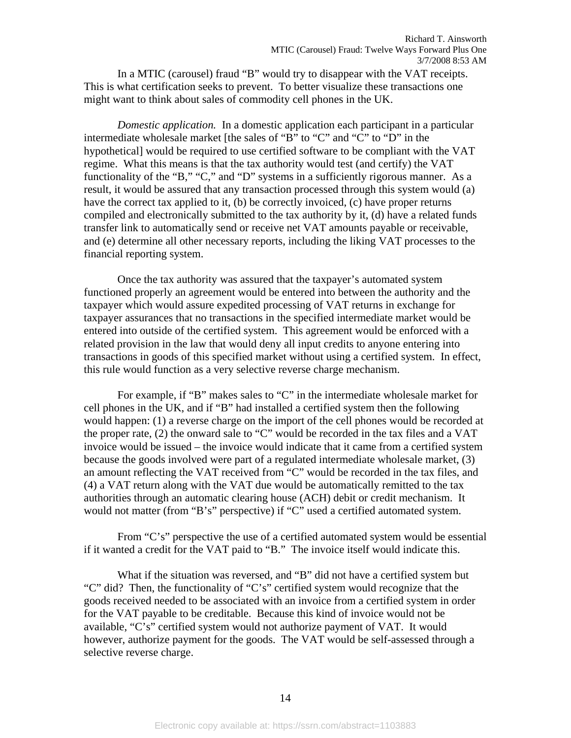In a MTIC (carousel) fraud "B" would try to disappear with the VAT receipts. This is what certification seeks to prevent. To better visualize these transactions one might want to think about sales of commodity cell phones in the UK.

*Domestic application.* In a domestic application each participant in a particular intermediate wholesale market [the sales of "B" to "C" and "C" to "D" in the hypothetical] would be required to use certified software to be compliant with the VAT regime. What this means is that the tax authority would test (and certify) the VAT functionality of the "B," "C," and "D" systems in a sufficiently rigorous manner. As a result, it would be assured that any transaction processed through this system would (a) have the correct tax applied to it, (b) be correctly invoiced, (c) have proper returns compiled and electronically submitted to the tax authority by it, (d) have a related funds transfer link to automatically send or receive net VAT amounts payable or receivable, and (e) determine all other necessary reports, including the liking VAT processes to the financial reporting system.

Once the tax authority was assured that the taxpayer's automated system functioned properly an agreement would be entered into between the authority and the taxpayer which would assure expedited processing of VAT returns in exchange for taxpayer assurances that no transactions in the specified intermediate market would be entered into outside of the certified system. This agreement would be enforced with a related provision in the law that would deny all input credits to anyone entering into transactions in goods of this specified market without using a certified system. In effect, this rule would function as a very selective reverse charge mechanism.

For example, if "B" makes sales to "C" in the intermediate wholesale market for cell phones in the UK, and if "B" had installed a certified system then the following would happen: (1) a reverse charge on the import of the cell phones would be recorded at the proper rate, (2) the onward sale to "C" would be recorded in the tax files and a VAT invoice would be issued – the invoice would indicate that it came from a certified system because the goods involved were part of a regulated intermediate wholesale market, (3) an amount reflecting the VAT received from "C" would be recorded in the tax files, and (4) a VAT return along with the VAT due would be automatically remitted to the tax authorities through an automatic clearing house (ACH) debit or credit mechanism. It would not matter (from "B's" perspective) if "C" used a certified automated system.

From "C's" perspective the use of a certified automated system would be essential if it wanted a credit for the VAT paid to "B." The invoice itself would indicate this.

What if the situation was reversed, and "B" did not have a certified system but "C" did? Then, the functionality of "C's" certified system would recognize that the goods received needed to be associated with an invoice from a certified system in order for the VAT payable to be creditable. Because this kind of invoice would not be available, "C's" certified system would not authorize payment of VAT. It would however, authorize payment for the goods. The VAT would be self-assessed through a selective reverse charge.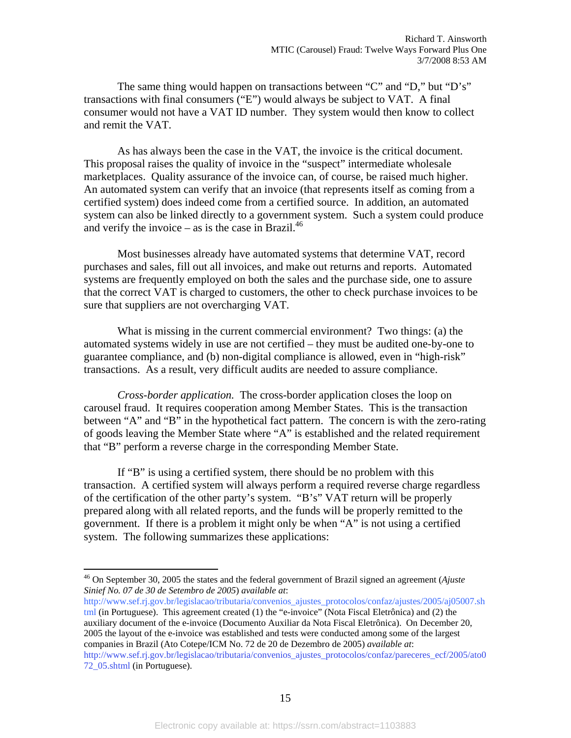The same thing would happen on transactions between "C" and "D," but "D's" transactions with final consumers ("E") would always be subject to VAT. A final consumer would not have a VAT ID number. They system would then know to collect and remit the VAT.

As has always been the case in the VAT, the invoice is the critical document. This proposal raises the quality of invoice in the "suspect" intermediate wholesale marketplaces. Quality assurance of the invoice can, of course, be raised much higher. An automated system can verify that an invoice (that represents itself as coming from a certified system) does indeed come from a certified source. In addition, an automated system can also be linked directly to a government system. Such a system could produce and verify the invoice – as is the case in Brazil.<sup>46</sup>

Most businesses already have automated systems that determine VAT, record purchases and sales, fill out all invoices, and make out returns and reports. Automated systems are frequently employed on both the sales and the purchase side, one to assure that the correct VAT is charged to customers, the other to check purchase invoices to be sure that suppliers are not overcharging VAT.

What is missing in the current commercial environment? Two things: (a) the automated systems widely in use are not certified – they must be audited one-by-one to guarantee compliance, and (b) non-digital compliance is allowed, even in "high-risk" transactions. As a result, very difficult audits are needed to assure compliance.

*Cross-border application.* The cross-border application closes the loop on carousel fraud. It requires cooperation among Member States. This is the transaction between "A" and "B" in the hypothetical fact pattern. The concern is with the zero-rating of goods leaving the Member State where "A" is established and the related requirement that "B" perform a reverse charge in the corresponding Member State.

If "B" is using a certified system, there should be no problem with this transaction. A certified system will always perform a required reverse charge regardless of the certification of the other party's system. "B's" VAT return will be properly prepared along with all related reports, and the funds will be properly remitted to the government. If there is a problem it might only be when "A" is not using a certified system. The following summarizes these applications:

 $\overline{a}$ 

http://www.sef.rj.gov.br/legislacao/tributaria/convenios\_ajustes\_protocolos/confaz/ajustes/2005/aj05007.sh tml (in Portuguese). This agreement created (1) the "e-invoice" (Nota Fiscal Eletrônica) and (2) the auxiliary document of the e-invoice (Documento Auxiliar da Nota Fiscal Eletrônica). On December 20, 2005 the layout of the e-invoice was established and tests were conducted among some of the largest companies in Brazil (Ato Cotepe/ICM No. 72 de 20 de Dezembro de 2005) *available at*: http://www.sef.rj.gov.br/legislacao/tributaria/convenios\_ajustes\_protocolos/confaz/pareceres\_ecf/2005/ato0 72\_05.shtml (in Portuguese).

<sup>46</sup> On September 30, 2005 the states and the federal government of Brazil signed an agreement (*Ajuste Sinief No. 07 de 30 de Setembro de 2005*) *available at*: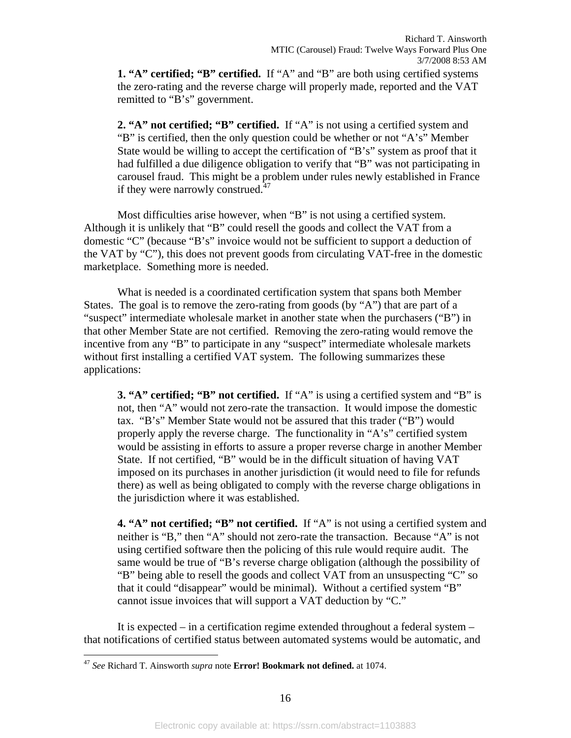**1. "A" certified; "B" certified.** If "A" and "B" are both using certified systems the zero-rating and the reverse charge will properly made, reported and the VAT remitted to "B's" government.

**2. "A" not certified; "B" certified.** If "A" is not using a certified system and "B" is certified, then the only question could be whether or not "A's" Member State would be willing to accept the certification of "B's" system as proof that it had fulfilled a due diligence obligation to verify that "B" was not participating in carousel fraud. This might be a problem under rules newly established in France if they were narrowly construed. $47$ 

Most difficulties arise however, when "B" is not using a certified system. Although it is unlikely that "B" could resell the goods and collect the VAT from a domestic "C" (because "B's" invoice would not be sufficient to support a deduction of the VAT by "C"), this does not prevent goods from circulating VAT-free in the domestic marketplace. Something more is needed.

What is needed is a coordinated certification system that spans both Member States. The goal is to remove the zero-rating from goods (by "A") that are part of a "suspect" intermediate wholesale market in another state when the purchasers ("B") in that other Member State are not certified. Removing the zero-rating would remove the incentive from any "B" to participate in any "suspect" intermediate wholesale markets without first installing a certified VAT system. The following summarizes these applications:

**3. "A" certified; "B" not certified.** If "A" is using a certified system and "B" is not, then "A" would not zero-rate the transaction. It would impose the domestic tax. "B's" Member State would not be assured that this trader ("B") would properly apply the reverse charge. The functionality in "A's" certified system would be assisting in efforts to assure a proper reverse charge in another Member State. If not certified, "B" would be in the difficult situation of having VAT imposed on its purchases in another jurisdiction (it would need to file for refunds there) as well as being obligated to comply with the reverse charge obligations in the jurisdiction where it was established.

**4. "A" not certified; "B" not certified.** If "A" is not using a certified system and neither is "B," then "A" should not zero-rate the transaction. Because "A" is not using certified software then the policing of this rule would require audit. The same would be true of "B's reverse charge obligation (although the possibility of "B" being able to resell the goods and collect VAT from an unsuspecting "C" so that it could "disappear" would be minimal). Without a certified system "B" cannot issue invoices that will support a VAT deduction by "C."

It is expected – in a certification regime extended throughout a federal system – that notifications of certified status between automated systems would be automatic, and

<sup>47</sup> *See* Richard T. Ainsworth *supra* note **Error! Bookmark not defined.** at 1074.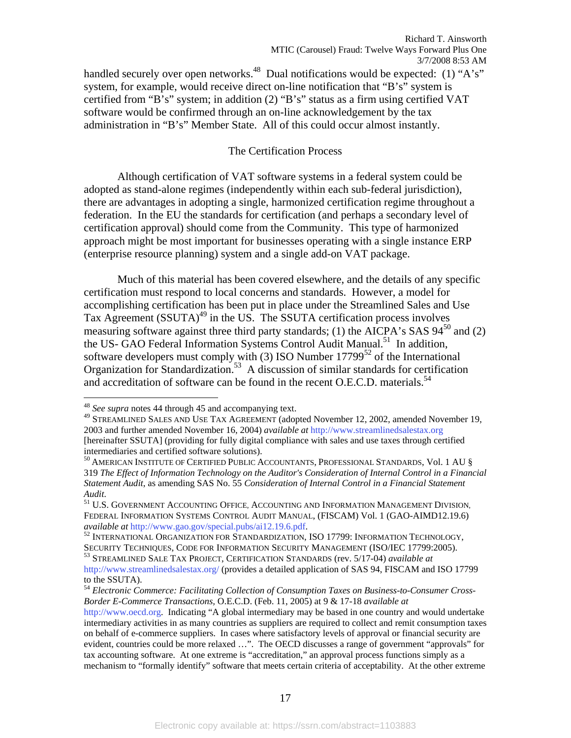handled securely over open networks.<sup>48</sup> Dual notifications would be expected: (1) "A's" system, for example, would receive direct on-line notification that "B's" system is certified from "B's" system; in addition (2) "B's" status as a firm using certified VAT software would be confirmed through an on-line acknowledgement by the tax administration in "B's" Member State. All of this could occur almost instantly.

#### The Certification Process

 Although certification of VAT software systems in a federal system could be adopted as stand-alone regimes (independently within each sub-federal jurisdiction), there are advantages in adopting a single, harmonized certification regime throughout a federation. In the EU the standards for certification (and perhaps a secondary level of certification approval) should come from the Community. This type of harmonized approach might be most important for businesses operating with a single instance ERP (enterprise resource planning) system and a single add-on VAT package.

Much of this material has been covered elsewhere, and the details of any specific certification must respond to local concerns and standards. However, a model for accomplishing certification has been put in place under the Streamlined Sales and Use Tax Agreement (SSUTA)<sup>49</sup> in the US. The SSUTA certification process involves measuring software against three third party standards; (1) the AICPA's SAS  $94^{50}$  and (2) the US- GAO Federal Information Systems Control Audit Manual.<sup>51</sup> In addition, software developers must comply with (3) ISO Number  $17799^{52}$  of the International Organization for Standardization.<sup>53</sup> A discussion of similar standards for certification and accreditation of software can be found in the recent O.E.C.D. materials.<sup>54</sup>

 $\overline{a}$ 

<sup>54</sup> *Electronic Commerce: Facilitating Collection of Consumption Taxes on Business-to-Consumer Cross-Border E-Commerce Transactions,* O.E.C.D. (Feb. 11, 2005) at 9 & 17-18 *available at*

<sup>48</sup> *See supra* notes 44 through 45 and accompanying text.

<sup>&</sup>lt;sup>49</sup> STREAMLINED SALES AND USE TAX AGREEMENT (adopted November 12, 2002, amended November 19, 2003 and further amended November 16, 2004) *available at* http://www.streamlinedsalestax.org [hereinafter SSUTA] (providing for fully digital compliance with sales and use taxes through certified intermediaries and certified software solutions).

 $^{50}$  American Institute of Certified Public Accountants, Professional Standards, Vol. 1 AU § 319 *The Effect of Information Technology on the Auditor's Consideration of Internal Control in a Financial Statement Audit*, as amending SAS No. 55 *Consideration of Internal Control in a Financial Statement* 

*Audit*. 51 U.S. GOVERNMENT ACCOUNTING OFFICE, ACCOUNTING AND INFORMATION MANAGEMENT DIVISION, FEDERAL INFORMATION SYSTEMS CONTROL AUDIT MANUAL, (FISCAM) Vol. 1 (GAO-AIMD12.19.6) *available at http://www.gao.gov/special.pubs/ai12.19.6.pdf.* 52 INTERNATION TECHNOLOGY, 52 INTERNATIONAL ORGANIZATION FOR STANDARDIZATION, ISO 17799: INFORMATION TECHNOLOGY,

SECURITY TECHNIQUES, CODE FOR INFORMATION SECURITY MANAGEMENT (ISO/IEC 17799:2005). 53 STREAMLINED SALE TAX PROJECT, CERTIFICATION STANDARDS (rev. 5/17-04) *available at*

http://www.streamlinedsalestax.org/ (provides a detailed application of SAS 94, FISCAM and ISO 17799 to the SSUTA).

http://www.oecd.org*.* Indicating "A global intermediary may be based in one country and would undertake intermediary activities in as many countries as suppliers are required to collect and remit consumption taxes on behalf of e-commerce suppliers. In cases where satisfactory levels of approval or financial security are evident, countries could be more relaxed …". The OECD discusses a range of government "approvals" for tax accounting software. At one extreme is "accreditation," an approval process functions simply as a mechanism to "formally identify" software that meets certain criteria of acceptability. At the other extreme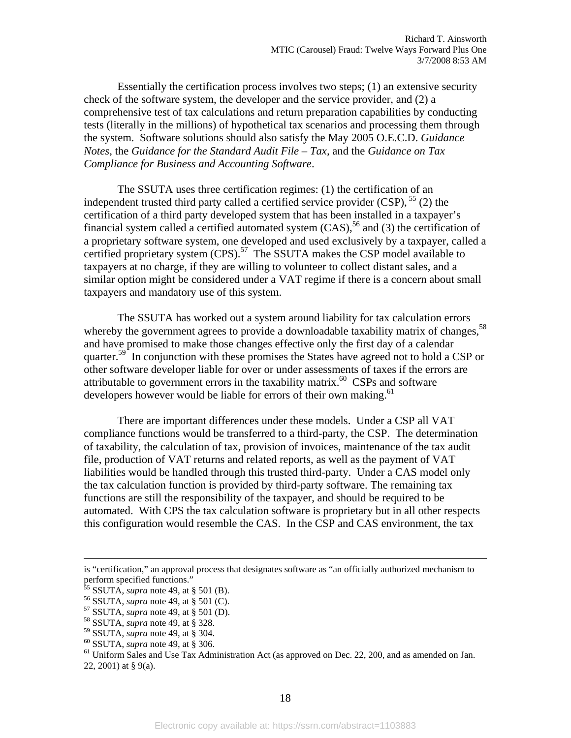Essentially the certification process involves two steps; (1) an extensive security check of the software system, the developer and the service provider, and (2) a comprehensive test of tax calculations and return preparation capabilities by conducting tests (literally in the millions) of hypothetical tax scenarios and processing them through the system. Software solutions should also satisfy the May 2005 O.E.C.D. *Guidance Notes*, the *Guidance for the Standard Audit File – Tax,* and the *Guidance on Tax Compliance for Business and Accounting Software*.

The SSUTA uses three certification regimes: (1) the certification of an independent trusted third party called a certified service provider  $(CSP)$ ,  $<sup>55</sup>$  (2) the</sup> certification of a third party developed system that has been installed in a taxpayer's financial system called a certified automated system  $(CAS)$ ,<sup>56</sup> and (3) the certification of a proprietary software system, one developed and used exclusively by a taxpayer, called a certified proprietary system  $(CPS)$ .<sup>57</sup> The SSUTA makes the CSP model available to taxpayers at no charge, if they are willing to volunteer to collect distant sales, and a similar option might be considered under a VAT regime if there is a concern about small taxpayers and mandatory use of this system.

The SSUTA has worked out a system around liability for tax calculation errors whereby the government agrees to provide a downloadable taxability matrix of changes,<sup>58</sup> and have promised to make those changes effective only the first day of a calendar quarter.<sup>59</sup> In conjunction with these promises the States have agreed not to hold a CSP or other software developer liable for over or under assessments of taxes if the errors are attributable to government errors in the taxability matrix.<sup>60</sup> CSPs and software developers however would be liable for errors of their own making.<sup>61</sup>

There are important differences under these models. Under a CSP all VAT compliance functions would be transferred to a third-party, the CSP. The determination of taxability, the calculation of tax, provision of invoices, maintenance of the tax audit file, production of VAT returns and related reports, as well as the payment of VAT liabilities would be handled through this trusted third-party. Under a CAS model only the tax calculation function is provided by third-party software. The remaining tax functions are still the responsibility of the taxpayer, and should be required to be automated. With CPS the tax calculation software is proprietary but in all other respects this configuration would resemble the CAS. In the CSP and CAS environment, the tax

<sup>60</sup> SSUTA, *supra* note 49, at § 306.<br><sup>61</sup> Uniform Sales and Use Tax Administration Act (as approved on Dec. 22, 200, and as amended on Jan. 22, 2001) at § 9(a).

is "certification," an approval process that designates software as "an officially authorized mechanism to perform specified functions."<br><sup>55</sup> SSUTA, *supra* note 49, at § 501 (B).

<sup>&</sup>lt;sup>56</sup> SSUTA, *supra* note 49, at § 501 (C).<br><sup>57</sup> SSUTA, *supra* note 49, at § 501 (D).<br><sup>58</sup> SSUTA, *supra* note 49, at § 328.<br><sup>59</sup> SSUTA, *supra* note 49, at § 304.